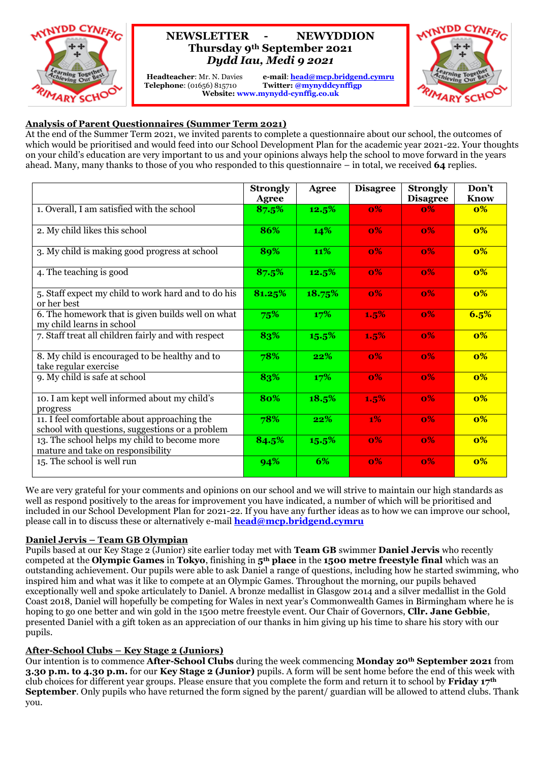

# **NEWSLETTER - NEWYDDION Thursday 9th September 2021** *Dydd Iau, Medi 9 2021*

 **Telephone**: (01656) 815710 **Twitter: @mynyddcynffigp**

**Headteacher**: Mr. N. Davies **e-mail**: **[head@mcp.bridgend.cymru](mailto:head@mcp.bridgend.cymru) Website: www.mynydd-cynffig.co.uk**



## **Analysis of Parent Questionnaires (Summer Term 2021)**

At the end of the Summer Term 2021, we invited parents to complete a questionnaire about our school, the outcomes of which would be prioritised and would feed into our School Development Plan for the academic year 2021-22. Your thoughts on your child's education are very important to us and your opinions always help the school to move forward in the years ahead. Many, many thanks to those of you who responded to this questionnaire – in total, we received **64** replies.

|                                                                                                 | <b>Strongly</b><br><b>Agree</b> | Agree  | <b>Disagree</b> | <b>Strongly</b><br><b>Disagree</b> | Don't<br><b>Know</b> |
|-------------------------------------------------------------------------------------------------|---------------------------------|--------|-----------------|------------------------------------|----------------------|
| 1. Overall, I am satisfied with the school                                                      | 87.5%                           | 12.5%  | $\mathbf{0\%}$  | $\mathbf{0\%}$                     | $\mathbf{0\%}$       |
| 2. My child likes this school                                                                   | 86%                             | 14%    | $\mathbf{0\%}$  | $\mathbf{0\%}$                     | $\mathbf{0\%}$       |
| 3. My child is making good progress at school                                                   | 89%                             | 11%    | 0%              | 0%                                 | $0\%$                |
| 4. The teaching is good                                                                         | 87.5%                           | 12.5%  | $\mathbf{0\%}$  | $\mathbf{0\%}$                     | $0\%$                |
| 5. Staff expect my child to work hard and to do his<br>or her best                              | 81.25%                          | 18.75% | $\mathbf{0\%}$  | $\mathbf{0\%}$                     | $\mathbf{0\%}$       |
| 6. The homework that is given builds well on what<br>my child learns in school                  | 75%                             | 17%    | 1.5%            | $0\%$                              | 6.5%                 |
| 7. Staff treat all children fairly and with respect                                             | 83%                             | 15.5%  | 1.5%            | $0\%$                              | $\mathbf{0\%}$       |
| 8. My child is encouraged to be healthy and to<br>take regular exercise                         | 78%                             | 22%    | $\mathbf{0\%}$  | $\mathbf{0\%}$                     | $0\%$                |
| 9. My child is safe at school                                                                   | 83%                             | 17%    | 0%              | $0\%$                              | $0\%$                |
| 10. I am kept well informed about my child's<br>progress                                        | 80%                             | 18.5%  | 1.5%            | $\mathbf{0\%}$                     | $0\%$                |
| 11. I feel comfortable about approaching the<br>school with questions, suggestions or a problem | 78%                             | 22%    | 1%              | 0%                                 | $0\%$                |
| 13. The school helps my child to become more<br>mature and take on responsibility               | 84.5%                           | 15.5%  | $0\%$           | $0\%$                              | $0\%$                |
| 15. The school is well run                                                                      | 94%                             | 6%     | $\mathbf{0\%}$  | $\mathbf{0\%}$                     | $0\%$                |

We are very grateful for your comments and opinions on our school and we will strive to maintain our high standards as well as respond positively to the areas for improvement you have indicated, a number of which will be prioritised and included in our School Development Plan for 2021-22. If you have any further ideas as to how we can improve our school, please call in to discuss these or alternatively e-mail **[head@mcp.bridgend.cymru](mailto:head@mcp.bridgend.cymru)**

### **Daniel Jervis – Team GB Olympian**

Pupils based at our Key Stage 2 (Junior) site earlier today met with **Team GB** swimmer **Daniel Jervis** who recently competed at the **Olympic Games** in **Tokyo**, finishing in **5th place** in the **1500 metre freestyle final** which was an outstanding achievement. Our pupils were able to ask Daniel a range of questions, including how he started swimming, who inspired him and what was it like to compete at an Olympic Games. Throughout the morning, our pupils behaved exceptionally well and spoke articulately to Daniel. A bronze medallist in Glasgow 2014 and a silver medallist in the Gold Coast 2018, Daniel will hopefully be competing for Wales in next year's Commonwealth Games in Birmingham where he is hoping to go one better and win gold in the 1500 metre freestyle event. Our Chair of Governors, **Cllr. Jane Gebbie**, presented Daniel with a gift token as an appreciation of our thanks in him giving up his time to share his story with our pupils.

### **After-School Clubs – Key Stage 2 (Juniors)**

Our intention is to commence **After-School Clubs** during the week commencing **Monday 20th September 2021** from **3.30 p.m. to 4.30 p.m.** for our **Key Stage 2 (Junior)** pupils. A form will be sent home before the end of this week with club choices for different year groups. Please ensure that you complete the form and return it to school by **Friday 17th September**. Only pupils who have returned the form signed by the parent/ guardian will be allowed to attend clubs. Thank you.